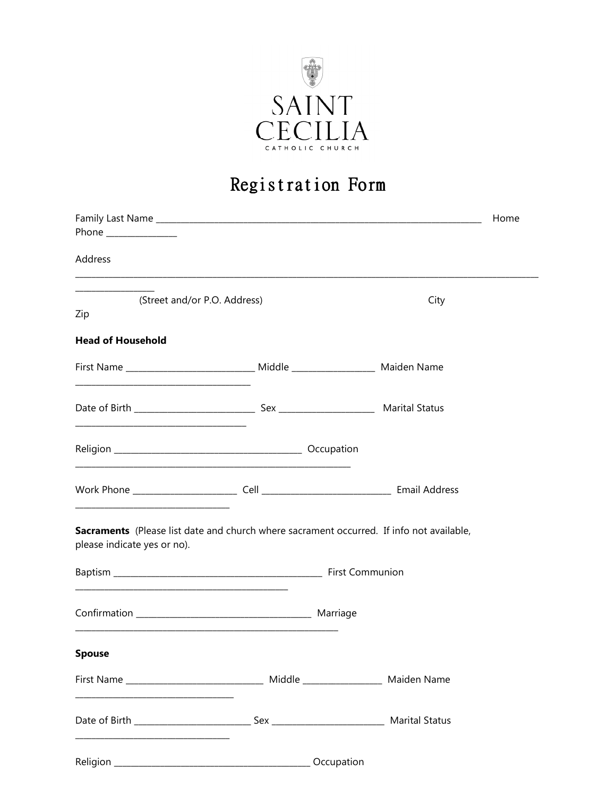

## Registration Form

|                              |                                                                                                                       |            | Home |
|------------------------------|-----------------------------------------------------------------------------------------------------------------------|------------|------|
| Phone ______________         |                                                                                                                       |            |      |
| Address                      |                                                                                                                       |            |      |
| (Street and/or P.O. Address) |                                                                                                                       | City       |      |
| Zip                          |                                                                                                                       |            |      |
| <b>Head of Household</b>     |                                                                                                                       |            |      |
|                              |                                                                                                                       |            |      |
|                              |                                                                                                                       |            |      |
|                              | <u> 1989 - Johann Stoff, deutscher Stoff, der Stoff, der Stoff, der Stoff, der Stoff, der Stoff, der Stoff, der S</u> |            |      |
|                              |                                                                                                                       |            |      |
| please indicate yes or no).  | Sacraments (Please list date and church where sacrament occurred. If info not available,                              |            |      |
|                              |                                                                                                                       |            |      |
|                              |                                                                                                                       |            |      |
| <b>Spouse</b>                |                                                                                                                       |            |      |
|                              | First Name __________________________________ Middle ___________________ Maiden Name                                  |            |      |
|                              |                                                                                                                       |            |      |
|                              |                                                                                                                       | Occupation |      |